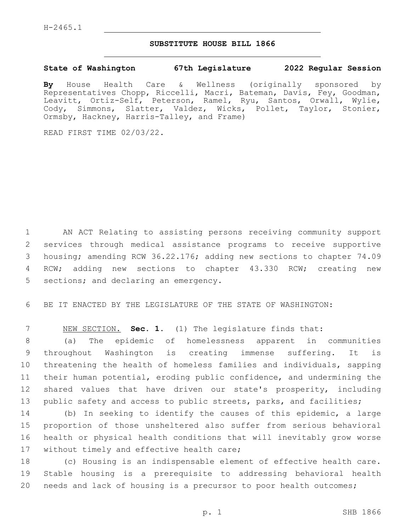## **SUBSTITUTE HOUSE BILL 1866**

## **State of Washington 67th Legislature 2022 Regular Session**

**By** House Health Care & Wellness (originally sponsored by Representatives Chopp, Riccelli, Macri, Bateman, Davis, Fey, Goodman, Leavitt, Ortiz-Self, Peterson, Ramel, Ryu, Santos, Orwall, Wylie, Cody, Simmons, Slatter, Valdez, Wicks, Pollet, Taylor, Stonier, Ormsby, Hackney, Harris-Talley, and Frame)

READ FIRST TIME 02/03/22.

 AN ACT Relating to assisting persons receiving community support services through medical assistance programs to receive supportive housing; amending RCW 36.22.176; adding new sections to chapter 74.09 RCW; adding new sections to chapter 43.330 RCW; creating new 5 sections; and declaring an emergency.

6 BE IT ENACTED BY THE LEGISLATURE OF THE STATE OF WASHINGTON:

7 NEW SECTION. **Sec. 1.** (1) The legislature finds that:

 (a) The epidemic of homelessness apparent in communities throughout Washington is creating immense suffering. It is threatening the health of homeless families and individuals, sapping their human potential, eroding public confidence, and undermining the shared values that have driven our state's prosperity, including public safety and access to public streets, parks, and facilities;

 (b) In seeking to identify the causes of this epidemic, a large proportion of those unsheltered also suffer from serious behavioral health or physical health conditions that will inevitably grow worse 17 without timely and effective health care;

18 (c) Housing is an indispensable element of effective health care. 19 Stable housing is a prerequisite to addressing behavioral health 20 needs and lack of housing is a precursor to poor health outcomes;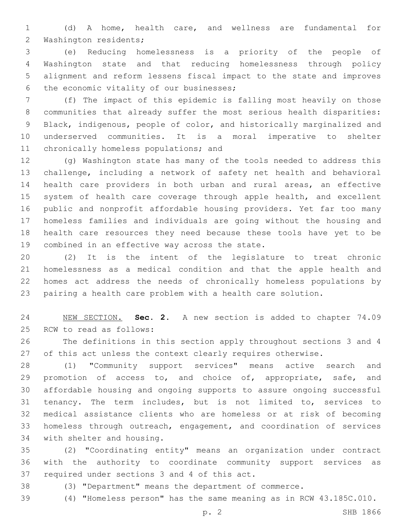(d) A home, health care, and wellness are fundamental for 2 Washington residents;

 (e) Reducing homelessness is a priority of the people of Washington state and that reducing homelessness through policy alignment and reform lessens fiscal impact to the state and improves 6 the economic vitality of our businesses;

 (f) The impact of this epidemic is falling most heavily on those communities that already suffer the most serious health disparities: Black, indigenous, people of color, and historically marginalized and underserved communities. It is a moral imperative to shelter 11 chronically homeless populations; and

 (g) Washington state has many of the tools needed to address this challenge, including a network of safety net health and behavioral health care providers in both urban and rural areas, an effective 15 system of health care coverage through apple health, and excellent public and nonprofit affordable housing providers. Yet far too many homeless families and individuals are going without the housing and health care resources they need because these tools have yet to be 19 combined in an effective way across the state.

 (2) It is the intent of the legislature to treat chronic homelessness as a medical condition and that the apple health and homes act address the needs of chronically homeless populations by pairing a health care problem with a health care solution.

 NEW SECTION. **Sec. 2.** A new section is added to chapter 74.09 25 RCW to read as follows:

 The definitions in this section apply throughout sections 3 and 4 27 of this act unless the context clearly requires otherwise.

 (1) "Community support services" means active search and 29 promotion of access to, and choice of, appropriate, safe, and affordable housing and ongoing supports to assure ongoing successful tenancy. The term includes, but is not limited to, services to medical assistance clients who are homeless or at risk of becoming homeless through outreach, engagement, and coordination of services 34 with shelter and housing.

 (2) "Coordinating entity" means an organization under contract with the authority to coordinate community support services as 37 required under sections 3 and 4 of this act.

(3) "Department" means the department of commerce.

(4) "Homeless person" has the same meaning as in RCW 43.185C.010.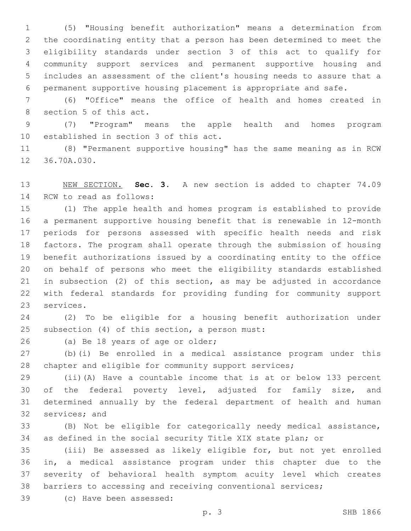(5) "Housing benefit authorization" means a determination from the coordinating entity that a person has been determined to meet the eligibility standards under section 3 of this act to qualify for community support services and permanent supportive housing and includes an assessment of the client's housing needs to assure that a permanent supportive housing placement is appropriate and safe.

 (6) "Office" means the office of health and homes created in 8 section 5 of this act.

 (7) "Program" means the apple health and homes program 10 established in section 3 of this act.

 (8) "Permanent supportive housing" has the same meaning as in RCW 12 36.70A.030.

 NEW SECTION. **Sec. 3.** A new section is added to chapter 74.09 14 RCW to read as follows:

 (1) The apple health and homes program is established to provide a permanent supportive housing benefit that is renewable in 12-month periods for persons assessed with specific health needs and risk factors. The program shall operate through the submission of housing benefit authorizations issued by a coordinating entity to the office on behalf of persons who meet the eligibility standards established in subsection (2) of this section, as may be adjusted in accordance with federal standards for providing funding for community support 23 services.

 (2) To be eligible for a housing benefit authorization under 25 subsection  $(4)$  of this section, a person must:

26 (a) Be 18 years of age or older;

 (b)(i) Be enrolled in a medical assistance program under this 28 chapter and eligible for community support services;

 (ii)(A) Have a countable income that is at or below 133 percent of the federal poverty level, adjusted for family size, and determined annually by the federal department of health and human 32 services; and

 (B) Not be eligible for categorically needy medical assistance, as defined in the social security Title XIX state plan; or

 (iii) Be assessed as likely eligible for, but not yet enrolled in, a medical assistance program under this chapter due to the severity of behavioral health symptom acuity level which creates barriers to accessing and receiving conventional services;

(c) Have been assessed:39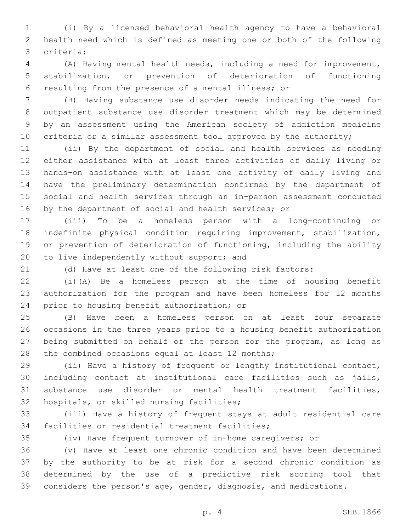(i) By a licensed behavioral health agency to have a behavioral health need which is defined as meeting one or both of the following criteria:3

 (A) Having mental health needs, including a need for improvement, stabilization, or prevention of deterioration of functioning resulting from the presence of a mental illness; or

 (B) Having substance use disorder needs indicating the need for outpatient substance use disorder treatment which may be determined by an assessment using the American society of addiction medicine 10 criteria or a similar assessment tool approved by the authority;

 (ii) By the department of social and health services as needing either assistance with at least three activities of daily living or hands-on assistance with at least one activity of daily living and have the preliminary determination confirmed by the department of social and health services through an in-person assessment conducted 16 by the department of social and health services; or

 (iii) To be a homeless person with a long-continuing or indefinite physical condition requiring improvement, stabilization, or prevention of deterioration of functioning, including the ability 20 to live independently without support; and

(d) Have at least one of the following risk factors:

 (i)(A) Be a homeless person at the time of housing benefit authorization for the program and have been homeless for 12 months 24 prior to housing benefit authorization; or

 (B) Have been a homeless person on at least four separate occasions in the three years prior to a housing benefit authorization being submitted on behalf of the person for the program, as long as 28 the combined occasions equal at least 12 months;

 (ii) Have a history of frequent or lengthy institutional contact, including contact at institutional care facilities such as jails, substance use disorder or mental health treatment facilities, 32 hospitals, or skilled nursing facilities;

 (iii) Have a history of frequent stays at adult residential care 34 facilities or residential treatment facilities;

(iv) Have frequent turnover of in-home caregivers; or

 (v) Have at least one chronic condition and have been determined by the authority to be at risk for a second chronic condition as determined by the use of a predictive risk scoring tool that considers the person's age, gender, diagnosis, and medications.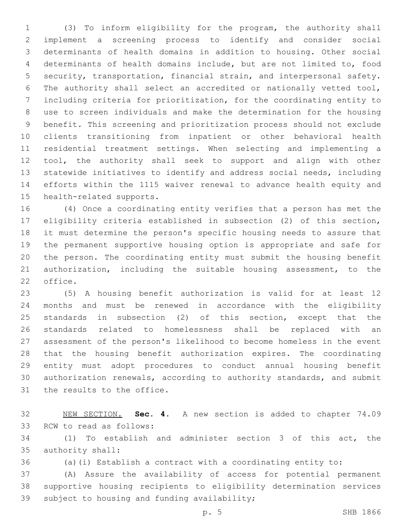(3) To inform eligibility for the program, the authority shall implement a screening process to identify and consider social determinants of health domains in addition to housing. Other social determinants of health domains include, but are not limited to, food security, transportation, financial strain, and interpersonal safety. The authority shall select an accredited or nationally vetted tool, including criteria for prioritization, for the coordinating entity to use to screen individuals and make the determination for the housing benefit. This screening and prioritization process should not exclude clients transitioning from inpatient or other behavioral health residential treatment settings. When selecting and implementing a tool, the authority shall seek to support and align with other statewide initiatives to identify and address social needs, including efforts within the 1115 waiver renewal to advance health equity and 15 health-related supports.

 (4) Once a coordinating entity verifies that a person has met the eligibility criteria established in subsection (2) of this section, it must determine the person's specific housing needs to assure that the permanent supportive housing option is appropriate and safe for the person. The coordinating entity must submit the housing benefit authorization, including the suitable housing assessment, to the 22 office.

 (5) A housing benefit authorization is valid for at least 12 months and must be renewed in accordance with the eligibility standards in subsection (2) of this section, except that the standards related to homelessness shall be replaced with an assessment of the person's likelihood to become homeless in the event that the housing benefit authorization expires. The coordinating entity must adopt procedures to conduct annual housing benefit authorization renewals, according to authority standards, and submit 31 the results to the office.

 NEW SECTION. **Sec. 4.** A new section is added to chapter 74.09 33 RCW to read as follows:

 (1) To establish and administer section 3 of this act, the 35 authority shall:

(a)(i) Establish a contract with a coordinating entity to:

 (A) Assure the availability of access for potential permanent supportive housing recipients to eligibility determination services 39 subject to housing and funding availability;

p. 5 SHB 1866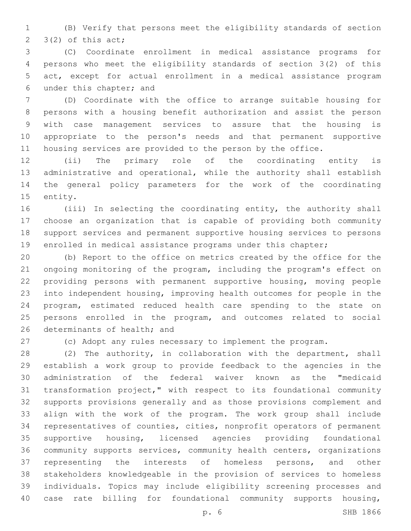(B) Verify that persons meet the eligibility standards of section  $2 \quad 3(2)$  of this act;

 (C) Coordinate enrollment in medical assistance programs for persons who meet the eligibility standards of section 3(2) of this act, except for actual enrollment in a medical assistance program 6 under this chapter; and

 (D) Coordinate with the office to arrange suitable housing for persons with a housing benefit authorization and assist the person with case management services to assure that the housing is appropriate to the person's needs and that permanent supportive housing services are provided to the person by the office.

 (ii) The primary role of the coordinating entity is administrative and operational, while the authority shall establish the general policy parameters for the work of the coordinating 15 entity.

 (iii) In selecting the coordinating entity, the authority shall choose an organization that is capable of providing both community support services and permanent supportive housing services to persons enrolled in medical assistance programs under this chapter;

 (b) Report to the office on metrics created by the office for the ongoing monitoring of the program, including the program's effect on providing persons with permanent supportive housing, moving people into independent housing, improving health outcomes for people in the program, estimated reduced health care spending to the state on persons enrolled in the program, and outcomes related to social 26 determinants of health; and

(c) Adopt any rules necessary to implement the program.

 (2) The authority, in collaboration with the department, shall establish a work group to provide feedback to the agencies in the administration of the federal waiver known as the "medicaid transformation project," with respect to its foundational community supports provisions generally and as those provisions complement and align with the work of the program. The work group shall include representatives of counties, cities, nonprofit operators of permanent supportive housing, licensed agencies providing foundational community supports services, community health centers, organizations representing the interests of homeless persons, and other stakeholders knowledgeable in the provision of services to homeless individuals. Topics may include eligibility screening processes and case rate billing for foundational community supports housing,

p. 6 SHB 1866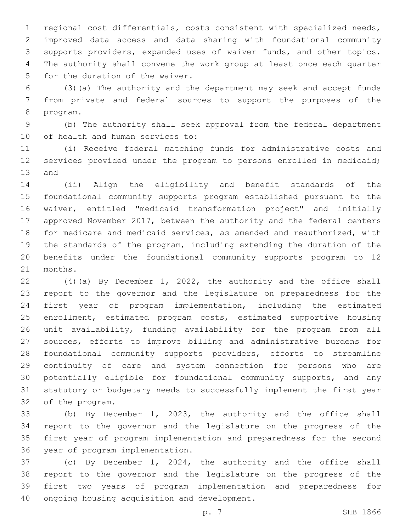regional cost differentials, costs consistent with specialized needs, improved data access and data sharing with foundational community supports providers, expanded uses of waiver funds, and other topics. The authority shall convene the work group at least once each quarter 5 for the duration of the waiver.

 (3)(a) The authority and the department may seek and accept funds from private and federal sources to support the purposes of the 8 program.

 (b) The authority shall seek approval from the federal department 10 of health and human services to:

 (i) Receive federal matching funds for administrative costs and 12 services provided under the program to persons enrolled in medicaid; 13 and

 (ii) Align the eligibility and benefit standards of the foundational community supports program established pursuant to the waiver, entitled "medicaid transformation project" and initially approved November 2017, between the authority and the federal centers for medicare and medicaid services, as amended and reauthorized, with the standards of the program, including extending the duration of the benefits under the foundational community supports program to 12 21 months.

 (4)(a) By December 1, 2022, the authority and the office shall report to the governor and the legislature on preparedness for the first year of program implementation, including the estimated enrollment, estimated program costs, estimated supportive housing unit availability, funding availability for the program from all sources, efforts to improve billing and administrative burdens for foundational community supports providers, efforts to streamline continuity of care and system connection for persons who are potentially eligible for foundational community supports, and any statutory or budgetary needs to successfully implement the first year 32 of the program.

 (b) By December 1, 2023, the authority and the office shall report to the governor and the legislature on the progress of the first year of program implementation and preparedness for the second 36 year of program implementation.

 (c) By December 1, 2024, the authority and the office shall report to the governor and the legislature on the progress of the first two years of program implementation and preparedness for 40 ongoing housing acquisition and development.

p. 7 SHB 1866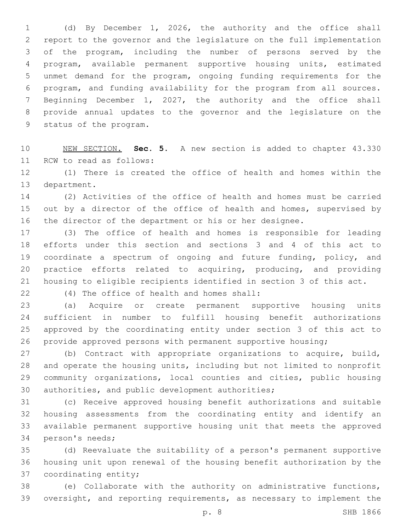(d) By December 1, 2026, the authority and the office shall report to the governor and the legislature on the full implementation of the program, including the number of persons served by the program, available permanent supportive housing units, estimated unmet demand for the program, ongoing funding requirements for the program, and funding availability for the program from all sources. Beginning December 1, 2027, the authority and the office shall provide annual updates to the governor and the legislature on the 9 status of the program.

 NEW SECTION. **Sec. 5.** A new section is added to chapter 43.330 11 RCW to read as follows:

 (1) There is created the office of health and homes within the 13 department.

 (2) Activities of the office of health and homes must be carried 15 out by a director of the office of health and homes, supervised by the director of the department or his or her designee.

 (3) The office of health and homes is responsible for leading efforts under this section and sections 3 and 4 of this act to coordinate a spectrum of ongoing and future funding, policy, and practice efforts related to acquiring, producing, and providing housing to eligible recipients identified in section 3 of this act.

(4) The office of health and homes shall:22

 (a) Acquire or create permanent supportive housing units sufficient in number to fulfill housing benefit authorizations approved by the coordinating entity under section 3 of this act to provide approved persons with permanent supportive housing;

 (b) Contract with appropriate organizations to acquire, build, and operate the housing units, including but not limited to nonprofit community organizations, local counties and cities, public housing 30 authorities, and public development authorities;

 (c) Receive approved housing benefit authorizations and suitable housing assessments from the coordinating entity and identify an available permanent supportive housing unit that meets the approved 34 person's needs;

 (d) Reevaluate the suitability of a person's permanent supportive housing unit upon renewal of the housing benefit authorization by the 37 coordinating entity;

 (e) Collaborate with the authority on administrative functions, oversight, and reporting requirements, as necessary to implement the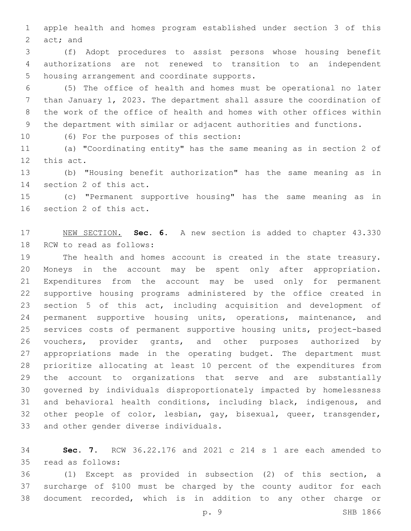apple health and homes program established under section 3 of this  $act;$  and

 (f) Adopt procedures to assist persons whose housing benefit authorizations are not renewed to transition to an independent 5 housing arrangement and coordinate supports.

 (5) The office of health and homes must be operational no later than January 1, 2023. The department shall assure the coordination of the work of the office of health and homes with other offices within the department with similar or adjacent authorities and functions.

10 (6) For the purposes of this section:

 (a) "Coordinating entity" has the same meaning as in section 2 of 12 this act.

 (b) "Housing benefit authorization" has the same meaning as in 14 section 2 of this act.

 (c) "Permanent supportive housing" has the same meaning as in 16 section 2 of this act.

 NEW SECTION. **Sec. 6.** A new section is added to chapter 43.330 18 RCW to read as follows:

 The health and homes account is created in the state treasury. Moneys in the account may be spent only after appropriation. Expenditures from the account may be used only for permanent supportive housing programs administered by the office created in section 5 of this act, including acquisition and development of permanent supportive housing units, operations, maintenance, and services costs of permanent supportive housing units, project-based vouchers, provider grants, and other purposes authorized by appropriations made in the operating budget. The department must prioritize allocating at least 10 percent of the expenditures from the account to organizations that serve and are substantially governed by individuals disproportionately impacted by homelessness and behavioral health conditions, including black, indigenous, and other people of color, lesbian, gay, bisexual, queer, transgender, 33 and other gender diverse individuals.

 **Sec. 7.** RCW 36.22.176 and 2021 c 214 s 1 are each amended to read as follows:35

 (1) Except as provided in subsection (2) of this section, a surcharge of \$100 must be charged by the county auditor for each document recorded, which is in addition to any other charge or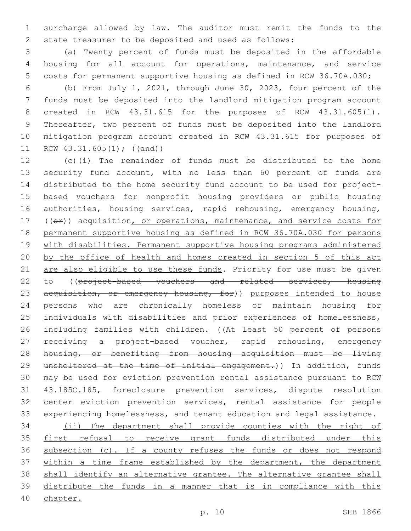surcharge allowed by law. The auditor must remit the funds to the state treasurer to be deposited and used as follows:

 (a) Twenty percent of funds must be deposited in the affordable housing for all account for operations, maintenance, and service costs for permanent supportive housing as defined in RCW 36.70A.030;

 (b) From July 1, 2021, through June 30, 2023, four percent of the funds must be deposited into the landlord mitigation program account created in RCW 43.31.615 for the purposes of RCW 43.31.605(1). Thereafter, two percent of funds must be deposited into the landlord mitigation program account created in RCW 43.31.615 for purposes of RCW 43.31.605(1); ((and))

 (c)(i) The remainder of funds must be distributed to the home 13 security fund account, with no less than 60 percent of funds are distributed to the home security fund account to be used for project- based vouchers for nonprofit housing providers or public housing authorities, housing services, rapid rehousing, emergency housing, 17 ((or)) acquisition, or operations, maintenance, and service costs for permanent supportive housing as defined in RCW 36.70A.030 for persons with disabilities. Permanent supportive housing programs administered by the office of health and homes created in section 5 of this act 21 are also eligible to use these funds. Priority for use must be given 22 to ((project-based vouchers and related services, housing 23 acquisition, or emergency housing, for)) purposes intended to house persons who are chronically homeless or maintain housing for individuals with disabilities and prior experiences of homelessness, 26 including families with children. ((At least 50 percent of persons 27 receiving a project-based voucher, rapid rehousing, emergency housing, or benefiting from housing acquisition must be living 29 unsheltered at the time of initial engagement.)) In addition, funds may be used for eviction prevention rental assistance pursuant to RCW 43.185C.185, foreclosure prevention services, dispute resolution center eviction prevention services, rental assistance for people experiencing homelessness, and tenant education and legal assistance. (ii) The department shall provide counties with the right of 35 first refusal to receive grant funds distributed under this subsection (c). If a county refuses the funds or does not respond 37 within a time frame established by the department, the department

38 shall identify an alternative grantee. The alternative grantee shall distribute the funds in a manner that is in compliance with this

chapter.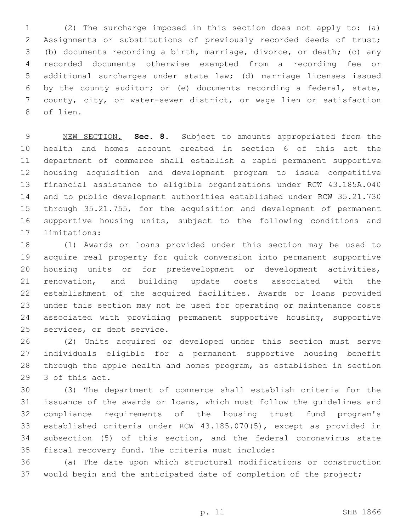(2) The surcharge imposed in this section does not apply to: (a) Assignments or substitutions of previously recorded deeds of trust; (b) documents recording a birth, marriage, divorce, or death; (c) any recorded documents otherwise exempted from a recording fee or additional surcharges under state law; (d) marriage licenses issued by the county auditor; or (e) documents recording a federal, state, county, city, or water-sewer district, or wage lien or satisfaction 8 of lien.

 NEW SECTION. **Sec. 8.** Subject to amounts appropriated from the health and homes account created in section 6 of this act the department of commerce shall establish a rapid permanent supportive housing acquisition and development program to issue competitive financial assistance to eligible organizations under RCW 43.185A.040 and to public development authorities established under RCW 35.21.730 through 35.21.755, for the acquisition and development of permanent supportive housing units, subject to the following conditions and limitations:

 (1) Awards or loans provided under this section may be used to acquire real property for quick conversion into permanent supportive housing units or for predevelopment or development activities, renovation, and building update costs associated with the establishment of the acquired facilities. Awards or loans provided under this section may not be used for operating or maintenance costs associated with providing permanent supportive housing, supportive 25 services, or debt service.

 (2) Units acquired or developed under this section must serve individuals eligible for a permanent supportive housing benefit through the apple health and homes program, as established in section 29 3 of this act.

 (3) The department of commerce shall establish criteria for the issuance of the awards or loans, which must follow the guidelines and compliance requirements of the housing trust fund program's established criteria under RCW 43.185.070(5), except as provided in subsection (5) of this section, and the federal coronavirus state 35 fiscal recovery fund. The criteria must include:

 (a) The date upon which structural modifications or construction would begin and the anticipated date of completion of the project;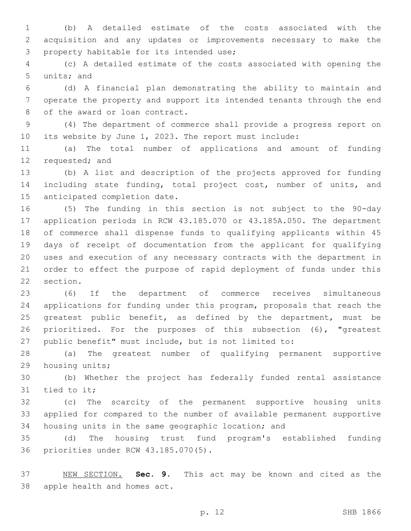(b) A detailed estimate of the costs associated with the acquisition and any updates or improvements necessary to make the 3 property habitable for its intended use;

 (c) A detailed estimate of the costs associated with opening the 5 units; and

 (d) A financial plan demonstrating the ability to maintain and operate the property and support its intended tenants through the end 8 of the award or loan contract.

 (4) The department of commerce shall provide a progress report on its website by June 1, 2023. The report must include:

 (a) The total number of applications and amount of funding 12 requested; and

 (b) A list and description of the projects approved for funding including state funding, total project cost, number of units, and 15 anticipated completion date.

 (5) The funding in this section is not subject to the 90-day application periods in RCW 43.185.070 or 43.185A.050. The department of commerce shall dispense funds to qualifying applicants within 45 days of receipt of documentation from the applicant for qualifying uses and execution of any necessary contracts with the department in order to effect the purpose of rapid deployment of funds under this 22 section.

 (6) If the department of commerce receives simultaneous applications for funding under this program, proposals that reach the greatest public benefit, as defined by the department, must be prioritized. For the purposes of this subsection (6), "greatest public benefit" must include, but is not limited to:

 (a) The greatest number of qualifying permanent supportive 29 housing units;

 (b) Whether the project has federally funded rental assistance 31 tied to it;

 (c) The scarcity of the permanent supportive housing units applied for compared to the number of available permanent supportive housing units in the same geographic location; and

 (d) The housing trust fund program's established funding 36 priorities under RCW 43.185.070(5).

 NEW SECTION. **Sec. 9.** This act may be known and cited as the apple health and homes act.